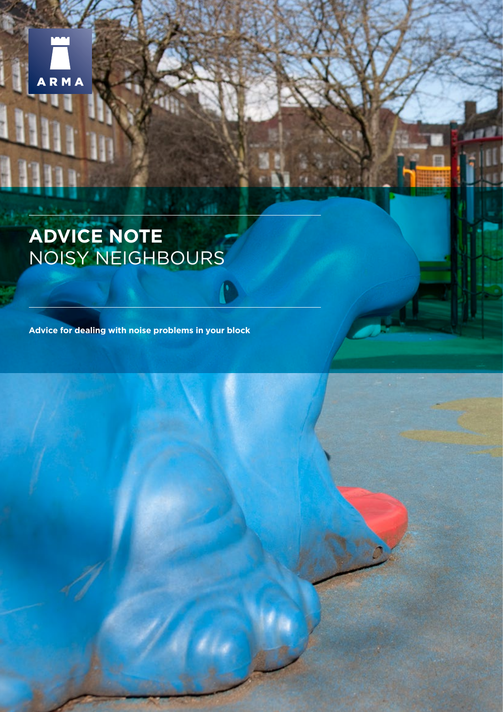

# **ADVICE NOTE** NOISY NEIGHBOURS

**Advice for dealing with noise problems in your block**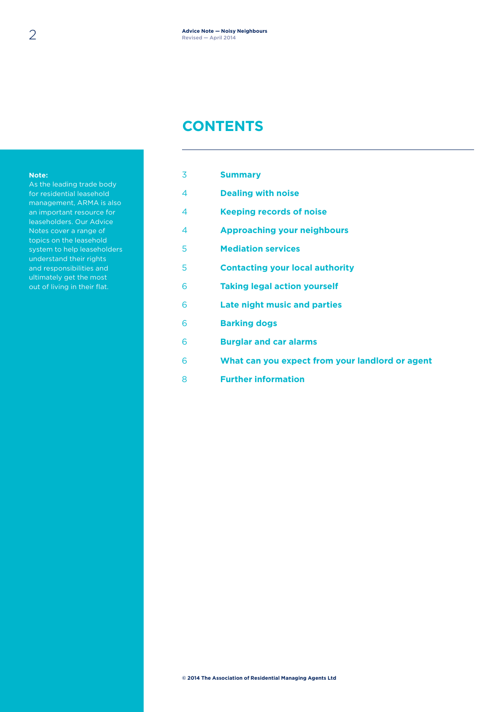### **CONTENTS**

#### **Note:**

As the leading trade body for residential leasehold management, ARMA is also an important resource for leaseholders. Our Advice Notes cover a range of topics on the leasehold system to help leaseholders understand their rights and responsibilities and ultimately get the most out of living in their flat.

| 3 | <b>Summary</b>                                  |
|---|-------------------------------------------------|
| 4 | <b>Dealing with noise</b>                       |
| 4 | <b>Keeping records of noise</b>                 |
| 4 | <b>Approaching your neighbours</b>              |
| 5 | <b>Mediation services</b>                       |
| 5 | <b>Contacting your local authority</b>          |
| 6 | <b>Taking legal action yourself</b>             |
| 6 | <b>Late night music and parties</b>             |
| 6 | <b>Barking dogs</b>                             |
| 6 | <b>Burglar and car alarms</b>                   |
| 6 | What can you expect from your landlord or agent |
| 8 | <b>Further information</b>                      |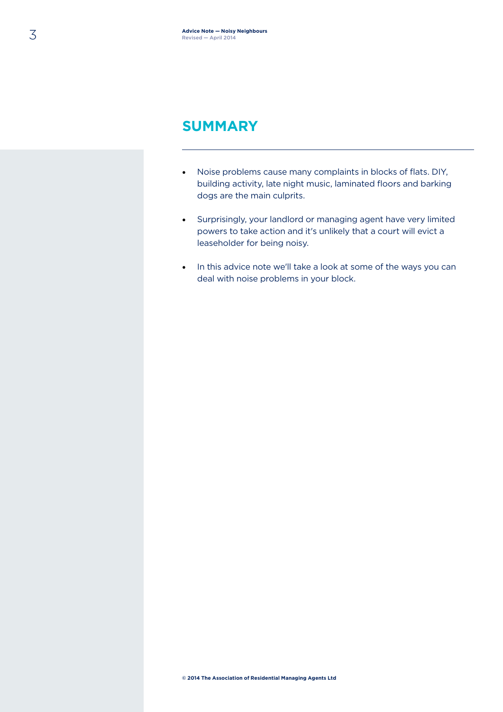### **SUMMARY**

- Noise problems cause many complaints in blocks of flats. DIY, building activity, late night music, laminated floors and barking dogs are the main culprits.
- Surprisingly, your landlord or managing agent have very limited powers to take action and it's unlikely that a court will evict a leaseholder for being noisy.
- In this advice note we'll take a look at some of the ways you can deal with noise problems in your block.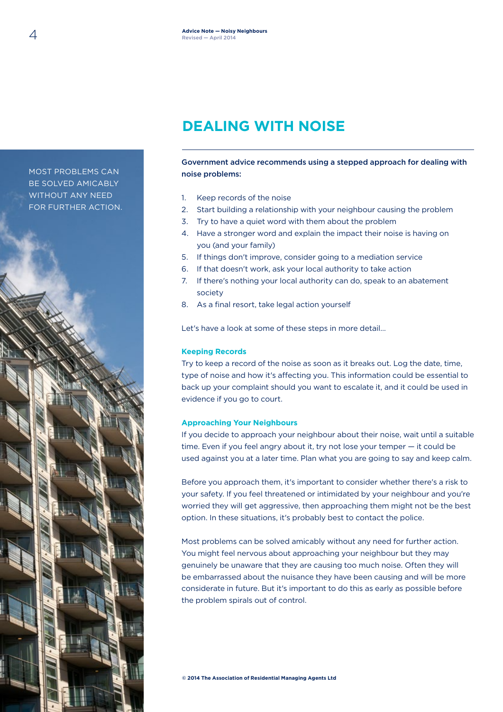# **DEALING WITH NOISE**

Government advice recommends using a stepped approach for dealing with noise problems:

- 1. Keep records of the noise
- 2. Start building a relationship with your neighbour causing the problem
- 3. Try to have a quiet word with them about the problem
- 4. Have a stronger word and explain the impact their noise is having on you (and your family)
- 5. If things don't improve, consider going to a mediation service
- 6. If that doesn't work, ask your local authority to take action
- 7. If there's nothing your local authority can do, speak to an abatement society
- 8. As a final resort, take legal action yourself

Let's have a look at some of these steps in more detail…

#### **Keeping Records**

Try to keep a record of the noise as soon as it breaks out. Log the date, time, type of noise and how it's affecting you. This information could be essential to back up your complaint should you want to escalate it, and it could be used in evidence if you go to court.

#### **Approaching Your Neighbours**

If you decide to approach your neighbour about their noise, wait until a suitable time. Even if you feel angry about it, try not lose your temper — it could be used against you at a later time. Plan what you are going to say and keep calm.

Before you approach them, it's important to consider whether there's a risk to your safety. If you feel threatened or intimidated by your neighbour and you're worried they will get aggressive, then approaching them might not be the best option. In these situations, it's probably best to contact the police.

Most problems can be solved amicably without any need for further action. You might feel nervous about approaching your neighbour but they may genuinely be unaware that they are causing too much noise. Often they will be embarrassed about the nuisance they have been causing and will be more considerate in future. But it's important to do this as early as possible before the problem spirals out of control.

MOST PROBLEMS CAN BE SOLVED AMICABLY WITHOUT ANY NEED FOR FURTHER ACTION.

**© 2014 The Association of Residential Managing Agents Ltd**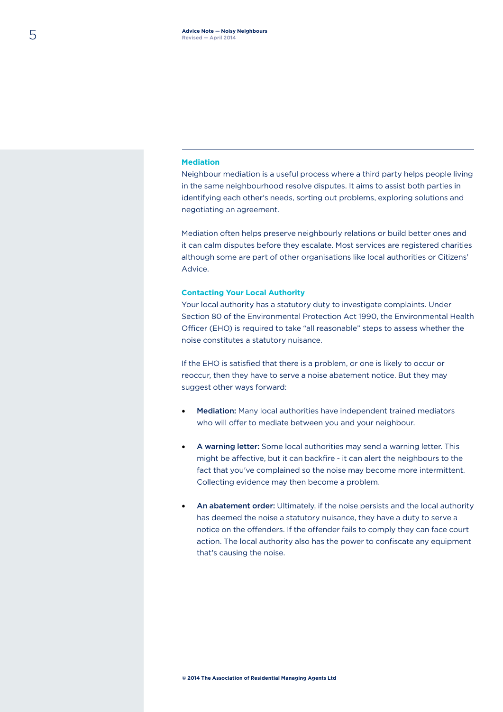#### **Mediation**

Neighbour mediation is a useful process where a third party helps people living in the same neighbourhood resolve disputes. It aims to assist both parties in identifying each other's needs, sorting out problems, exploring solutions and negotiating an agreement.

Mediation often helps preserve neighbourly relations or build better ones and it can calm disputes before they escalate. Most services are registered charities although some are part of other organisations like local authorities or Citizens' Advice.

#### **Contacting Your Local Authority**

Your local authority has a statutory duty to investigate complaints. Under Section 80 of the Environmental Protection Act 1990, the Environmental Health Officer (EHO) is required to take "all reasonable" steps to assess whether the noise constitutes a statutory nuisance.

If the EHO is satisfied that there is a problem, or one is likely to occur or reoccur, then they have to serve a noise abatement notice. But they may suggest other ways forward:

- Mediation: Many local authorities have independent trained mediators who will offer to mediate between you and your neighbour.
- A warning letter: Some local authorities may send a warning letter. This might be affective, but it can backfire - it can alert the neighbours to the fact that you've complained so the noise may become more intermittent. Collecting evidence may then become a problem.
- An abatement order: Ultimately, if the noise persists and the local authority has deemed the noise a statutory nuisance, they have a duty to serve a notice on the offenders. If the offender fails to comply they can face court action. The local authority also has the power to confiscate any equipment that's causing the noise.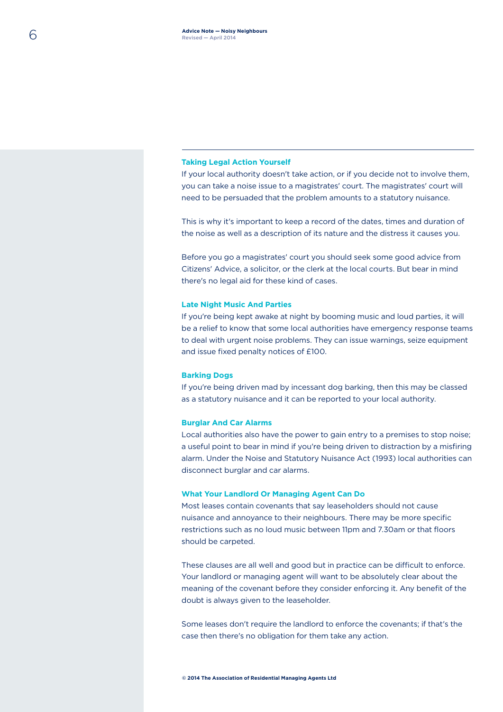#### **Taking Legal Action Yourself**

If your local authority doesn't take action, or if you decide not to involve them, you can take a noise issue to a magistrates' court. The magistrates' court will need to be persuaded that the problem amounts to a statutory nuisance.

This is why it's important to keep a record of the dates, times and duration of the noise as well as a description of its nature and the distress it causes you.

Before you go a magistrates' court you should seek some good advice from Citizens' Advice, a solicitor, or the clerk at the local courts. But bear in mind there's no legal aid for these kind of cases.

#### **Late Night Music And Parties**

If you're being kept awake at night by booming music and loud parties, it will be a relief to know that some local authorities have emergency response teams to deal with urgent noise problems. They can issue warnings, seize equipment and issue fixed penalty notices of £100.

#### **Barking Dogs**

If you're being driven mad by incessant dog barking, then this may be classed as a statutory nuisance and it can be reported to your local authority.

#### **Burglar And Car Alarms**

Local authorities also have the power to gain entry to a premises to stop noise; a useful point to bear in mind if you're being driven to distraction by a misfiring alarm. Under the Noise and Statutory Nuisance Act (1993) local authorities can disconnect burglar and car alarms.

#### **What Your Landlord Or Managing Agent Can Do**

Most leases contain covenants that say leaseholders should not cause nuisance and annoyance to their neighbours. There may be more specific restrictions such as no loud music between 11pm and 7.30am or that floors should be carpeted.

These clauses are all well and good but in practice can be difficult to enforce. Your landlord or managing agent will want to be absolutely clear about the meaning of the covenant before they consider enforcing it. Any benefit of the doubt is always given to the leaseholder.

Some leases don't require the landlord to enforce the covenants; if that's the case then there's no obligation for them take any action.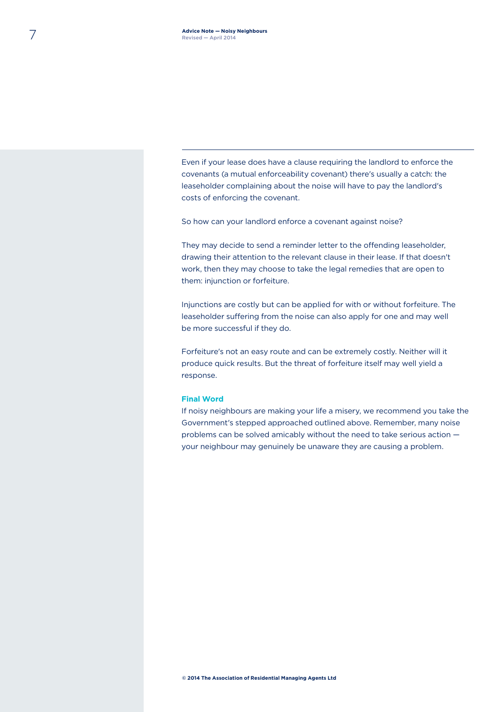Even if your lease does have a clause requiring the landlord to enforce the covenants (a mutual enforceability covenant) there's usually a catch: the leaseholder complaining about the noise will have to pay the landlord's costs of enforcing the covenant.

So how can your landlord enforce a covenant against noise?

They may decide to send a reminder letter to the offending leaseholder, drawing their attention to the relevant clause in their lease. If that doesn't work, then they may choose to take the legal remedies that are open to them: injunction or forfeiture.

Injunctions are costly but can be applied for with or without forfeiture. The leaseholder suffering from the noise can also apply for one and may well be more successful if they do.

Forfeiture's not an easy route and can be extremely costly. Neither will it produce quick results. But the threat of forfeiture itself may well yield a response.

#### **Final Word**

If noisy neighbours are making your life a misery, we recommend you take the Government's stepped approached outlined above. Remember, many noise problems can be solved amicably without the need to take serious action your neighbour may genuinely be unaware they are causing a problem.